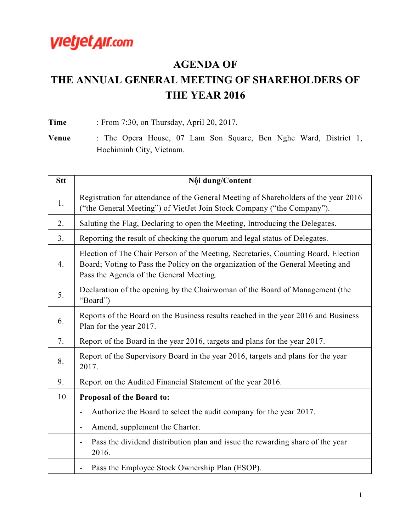

## **AGENDA OF**

## **THE ANNUAL GENERAL MEETING OF SHAREHOLDERS OF THE YEAR 2016**

**Time** : From 7:30, on Thursday, April 20, 2017.

**Venue** : The Opera House, 07 Lam Son Square, Ben Nghe Ward, District 1, Hochiminh City, Vietnam.

| <b>Stt</b>     | Nội dung/Content                                                                                                                                                                                                 |
|----------------|------------------------------------------------------------------------------------------------------------------------------------------------------------------------------------------------------------------|
| 1.             | Registration for attendance of the General Meeting of Shareholders of the year 2016<br>("the General Meeting") of VietJet Join Stock Company ("the Company").                                                    |
| 2.             | Saluting the Flag, Declaring to open the Meeting, Introducing the Delegates.                                                                                                                                     |
| 3 <sub>1</sub> | Reporting the result of checking the quorum and legal status of Delegates.                                                                                                                                       |
| 4.             | Election of The Chair Person of the Meeting, Secretaries, Counting Board, Election<br>Board; Voting to Pass the Policy on the organization of the General Meeting and<br>Pass the Agenda of the General Meeting. |
| 5.             | Declaration of the opening by the Chairwoman of the Board of Management (the<br>"Board")                                                                                                                         |
| 6.             | Reports of the Board on the Business results reached in the year 2016 and Business<br>Plan for the year 2017.                                                                                                    |
| 7.             | Report of the Board in the year 2016, targets and plans for the year 2017.                                                                                                                                       |
| 8.             | Report of the Supervisory Board in the year 2016, targets and plans for the year<br>2017.                                                                                                                        |
| 9.             | Report on the Audited Financial Statement of the year 2016.                                                                                                                                                      |
| 10.            | Proposal of the Board to:                                                                                                                                                                                        |
|                | Authorize the Board to select the audit company for the year 2017.<br>$\overline{\phantom{0}}$                                                                                                                   |
|                | Amend, supplement the Charter.<br>$\overline{\phantom{a}}$                                                                                                                                                       |
|                | Pass the dividend distribution plan and issue the rewarding share of the year<br>2016.                                                                                                                           |
|                | Pass the Employee Stock Ownership Plan (ESOP).<br>$\overline{\phantom{a}}$                                                                                                                                       |